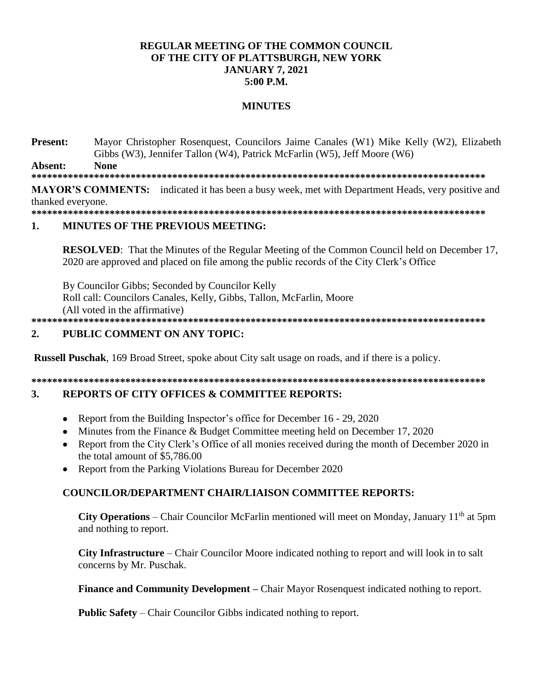### **REGULAR MEETING OF THE COMMON COUNCIL** OF THE CITY OF PLATTSBURGH, NEW YORK **JANUARY 7, 2021**  $5:00$  P.M.

### **MINUTES**

**Present:** Mayor Christopher Rosenquest, Councilors Jaime Canales (W1) Mike Kelly (W2), Elizabeth Gibbs (W3), Jennifer Tallon (W4), Patrick McFarlin (W5), Jeff Moore (W6) Ahsent. **None** 

**MAYOR'S COMMENTS:** indicated it has been a busy week, met with Department Heads, very positive and thanked everyone.

#### $\blacksquare$ **MINUTES OF THE PREVIOUS MEETING:**

**RESOLVED:** That the Minutes of the Regular Meeting of the Common Council held on December 17, 2020 are approved and placed on file among the public records of the City Clerk's Office

By Councilor Gibbs; Seconded by Councilor Kelly Roll call: Councilors Canales, Kelly, Gibbs, Tallon, McFarlin, Moore (All voted in the affirmative)

#### PUBLIC COMMENT ON ANY TOPIC:  $\overline{2}$ .

**Russell Puschak**, 169 Broad Street, spoke about City salt usage on roads, and if there is a policy.

#### $3.$ **REPORTS OF CITY OFFICES & COMMITTEE REPORTS:**

- Report from the Building Inspector's office for December 16 29, 2020  $\bullet$
- Minutes from the Finance & Budget Committee meeting held on December 17, 2020
- Report from the City Clerk's Office of all monies received during the month of December 2020 in the total amount of \$5,786.00
- Report from the Parking Violations Bureau for December 2020

# **COUNCILOR/DEPARTMENT CHAIR/LIAISON COMMITTEE REPORTS:**

City Operations – Chair Councilor McFarlin mentioned will meet on Monday, January  $11<sup>th</sup>$  at 5pm and nothing to report.

**City Infrastructure** – Chair Councilor Moore indicated nothing to report and will look in to salt concerns by Mr. Puschak.

**Finance and Community Development – Chair Mayor Rosenquest indicated nothing to report.** 

**Public Safety** – Chair Councilor Gibbs indicated nothing to report.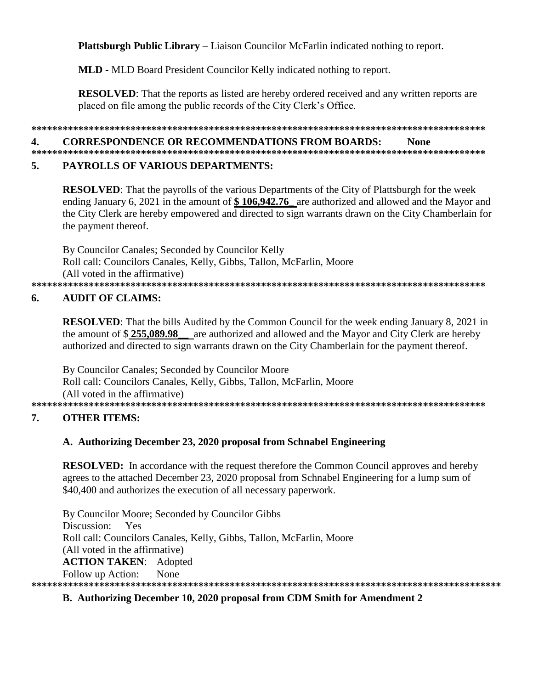**Plattsburgh Public Library** – Liaison Councilor McFarlin indicated nothing to report.

**MLD - MLD Board President Councilor Kelly indicated nothing to report.** 

**RESOLVED:** That the reports as listed are hereby ordered received and any written reports are placed on file among the public records of the City Clerk's Office.

### 

#### **CORRESPONDENCE OR RECOMMENDATIONS FROM BOARDS:** 4. **None**

#### 5. **PAYROLLS OF VARIOUS DEPARTMENTS:**

**RESOLVED:** That the payrolls of the various Departments of the City of Plattsburgh for the week ending January 6, 2021 in the amount of  $$106,942.76$  are authorized and allowed and the Mayor and the City Clerk are hereby empowered and directed to sign warrants drawn on the City Chamberlain for the payment thereof.

By Councilor Canales; Seconded by Councilor Kelly Roll call: Councilors Canales, Kelly, Gibbs, Tallon, McFarlin, Moore (All voted in the affirmative) 

### **AUDIT OF CLAIMS:** 6.

**RESOLVED:** That the bills Audited by the Common Council for the week ending January 8, 2021 in the amount of  $$255,089.98$ are authorized and allowed and the Mayor and City Clerk are hereby authorized and directed to sign warrants drawn on the City Chamberlain for the payment thereof.

By Councilor Canales; Seconded by Councilor Moore Roll call: Councilors Canales, Kelly, Gibbs, Tallon, McFarlin, Moore (All voted in the affirmative) 

### **OTHER ITEMS:** 7.

### A. Authorizing December 23, 2020 proposal from Schnabel Engineering

**RESOLVED:** In accordance with the request therefore the Common Council approves and hereby agrees to the attached December 23, 2020 proposal from Schnabel Engineering for a lump sum of \$40,400 and authorizes the execution of all necessary paperwork.

By Councilor Moore; Seconded by Councilor Gibbs Discussion: Yes Roll call: Councilors Canales, Kelly, Gibbs, Tallon, McFarlin, Moore (All voted in the affirmative) **ACTION TAKEN: Adopted** Follow up Action: None 

### B. Authorizing December 10, 2020 proposal from CDM Smith for Amendment 2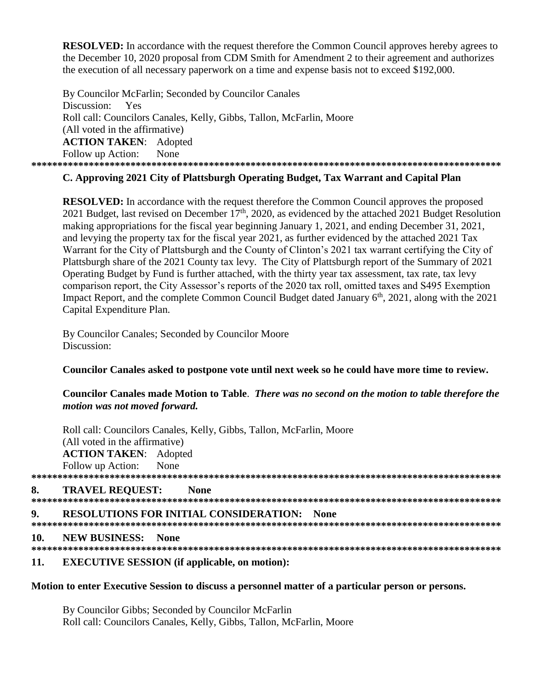**RESOLVED:** In accordance with the request therefore the Common Council approves hereby agrees to the December 10, 2020 proposal from CDM Smith for Amendment 2 to their agreement and authorizes the execution of all necessary paperwork on a time and expense basis not to exceed \$192,000.

By Councilor McFarlin; Seconded by Councilor Canales Discussion: Yes Roll call: Councilors Canales, Kelly, Gibbs, Tallon, McFarlin, Moore (All voted in the affirmative) **ACTION TAKEN**: Adopted Follow up Action: None **\*\*\*\*\*\*\*\*\*\*\*\*\*\*\*\*\*\*\*\*\*\*\*\*\*\*\*\*\*\*\*\*\*\*\*\*\*\*\*\*\*\*\*\*\*\*\*\*\*\*\*\*\*\*\*\*\*\*\*\*\*\*\*\*\*\*\*\*\*\*\*\*\*\*\*\*\*\*\*\*\*\*\*\*\*\*\*\*\*\***

## **C. Approving 2021 City of Plattsburgh Operating Budget, Tax Warrant and Capital Plan**

**RESOLVED:** In accordance with the request therefore the Common Council approves the proposed 2021 Budget, last revised on December 17<sup>th</sup>, 2020, as evidenced by the attached 2021 Budget Resolution making appropriations for the fiscal year beginning January 1, 2021, and ending December 31, 2021, and levying the property tax for the fiscal year 2021, as further evidenced by the attached 2021 Tax Warrant for the City of Plattsburgh and the County of Clinton's 2021 tax warrant certifying the City of Plattsburgh share of the 2021 County tax levy. The City of Plattsburgh report of the Summary of 2021 Operating Budget by Fund is further attached, with the thirty year tax assessment, tax rate, tax levy comparison report, the City Assessor's reports of the 2020 tax roll, omitted taxes and S495 Exemption Impact Report, and the complete Common Council Budget dated January  $6<sup>th</sup>$ , 2021, along with the 2021 Capital Expenditure Plan.

By Councilor Canales; Seconded by Councilor Moore Discussion:

### **Councilor Canales asked to postpone vote until next week so he could have more time to review.**

### **Councilor Canales made Motion to Table**. *There was no second on the motion to table therefore the motion was not moved forward.*

Roll call: Councilors Canales, Kelly, Gibbs, Tallon, McFarlin, Moore (All voted in the affirmative) **ACTION TAKEN**: Adopted Follow up Action: None **\*\*\*\*\*\*\*\*\*\*\*\*\*\*\*\*\*\*\*\*\*\*\*\*\*\*\*\*\*\*\*\*\*\*\*\*\*\*\*\*\*\*\*\*\*\*\*\*\*\*\*\*\*\*\*\*\*\*\*\*\*\*\*\*\*\*\*\*\*\*\*\*\*\*\*\*\*\*\*\*\*\*\*\*\*\*\*\*\*\* 8. TRAVEL REQUEST: None \*\*\*\*\*\*\*\*\*\*\*\*\*\*\*\*\*\*\*\*\*\*\*\*\*\*\*\*\*\*\*\*\*\*\*\*\*\*\*\*\*\*\*\*\*\*\*\*\*\*\*\*\*\*\*\*\*\*\*\*\*\*\*\*\*\*\*\*\*\*\*\*\*\*\*\*\*\*\*\*\*\*\*\*\*\*\*\*\*\* 9. RESOLUTIONS FOR INITIAL CONSIDERATION: None \*\*\*\*\*\*\*\*\*\*\*\*\*\*\*\*\*\*\*\*\*\*\*\*\*\*\*\*\*\*\*\*\*\*\*\*\*\*\*\*\*\*\*\*\*\*\*\*\*\*\*\*\*\*\*\*\*\*\*\*\*\*\*\*\*\*\*\*\*\*\*\*\*\*\*\*\*\*\*\*\*\*\*\*\*\*\*\*\*\* 10. NEW BUSINESS: None \*\*\*\*\*\*\*\*\*\*\*\*\*\*\*\*\*\*\*\*\*\*\*\*\*\*\*\*\*\*\*\*\*\*\*\*\*\*\*\*\*\*\*\*\*\*\*\*\*\*\*\*\*\*\*\*\*\*\*\*\*\*\*\*\*\*\*\*\*\*\*\*\*\*\*\*\*\*\*\*\*\*\*\*\*\*\*\*\*\*** 

### **11. EXECUTIVE SESSION (if applicable, on motion):**

### **Motion to enter Executive Session to discuss a personnel matter of a particular person or persons.**

By Councilor Gibbs; Seconded by Councilor McFarlin Roll call: Councilors Canales, Kelly, Gibbs, Tallon, McFarlin, Moore